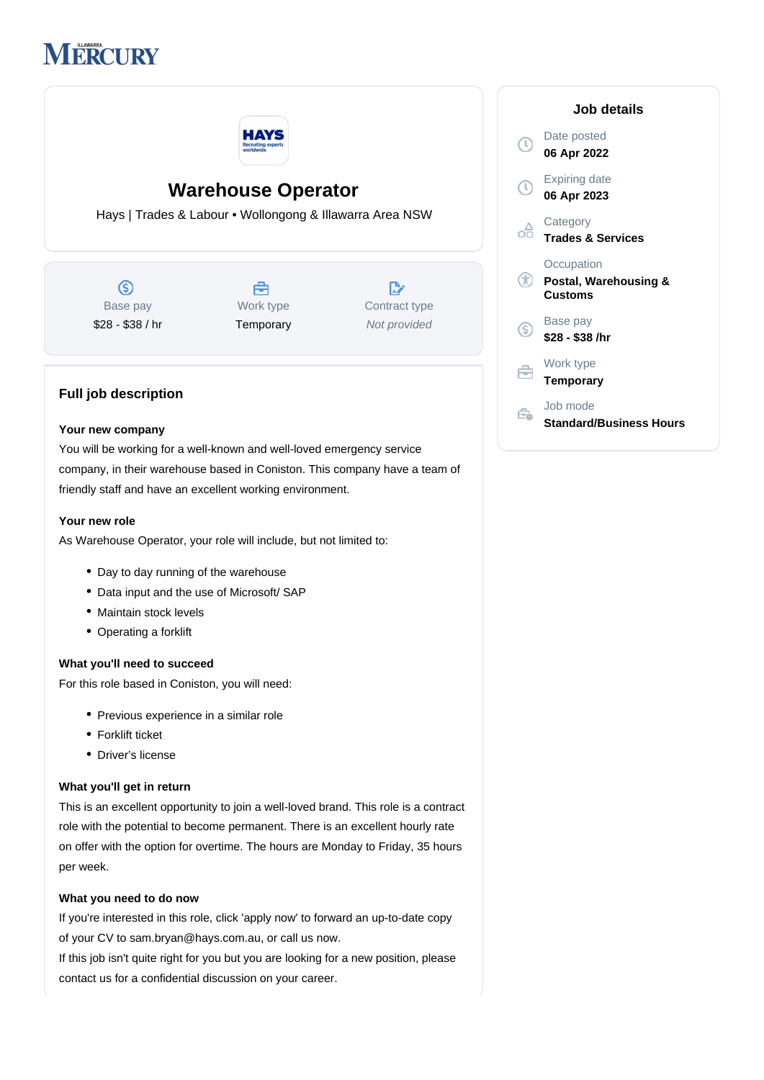



# **Warehouse Operator**

Hays | Trades & Labour • Wollongong & Illawarra Area NSW

(\$) Base pay \$28 - \$38 / hr

Å Work type **Temporary** 

 $\mathbb{R}$ Contract type Not provided

# **Full job description**

### **Your new company**

You will be working for a well-known and well-loved emergency service company, in their warehouse based in Coniston. This company have a team of friendly staff and have an excellent working environment.

### **Your new role**

As Warehouse Operator, your role will include, but not limited to:

- Day to day running of the warehouse
- Data input and the use of Microsoft/ SAP
- Maintain stock levels
- Operating a forklift

## **What you'll need to succeed**

For this role based in Coniston, you will need:

- Previous experience in a similar role
- Forklift ticket
- Driver's license

#### **What you'll get in return**

This is an excellent opportunity to join a well-loved brand. This role is a contract role with the potential to become permanent. There is an excellent hourly rate on offer with the option for overtime. The hours are Monday to Friday, 35 hours per week.

## **What you need to do now**

If you're interested in this role, click 'apply now' to forward an up-to-date copy of your CV to sam.bryan@hays.com.au, or call us now.

If this job isn't quite right for you but you are looking for a new position, please contact us for a confidential discussion on your career.

# **Job details** Date posted  $\bigcirc$ **06 Apr 2022** Expiring date **06 Apr 2023 Category** óâ **Trades & Services Occupation Postal, Warehousing & Customs** Base pay  $\circledS$ **\$28 - \$38 /hr** Work type 户 **Temporary** Job mode É.

**Standard/Business Hours**